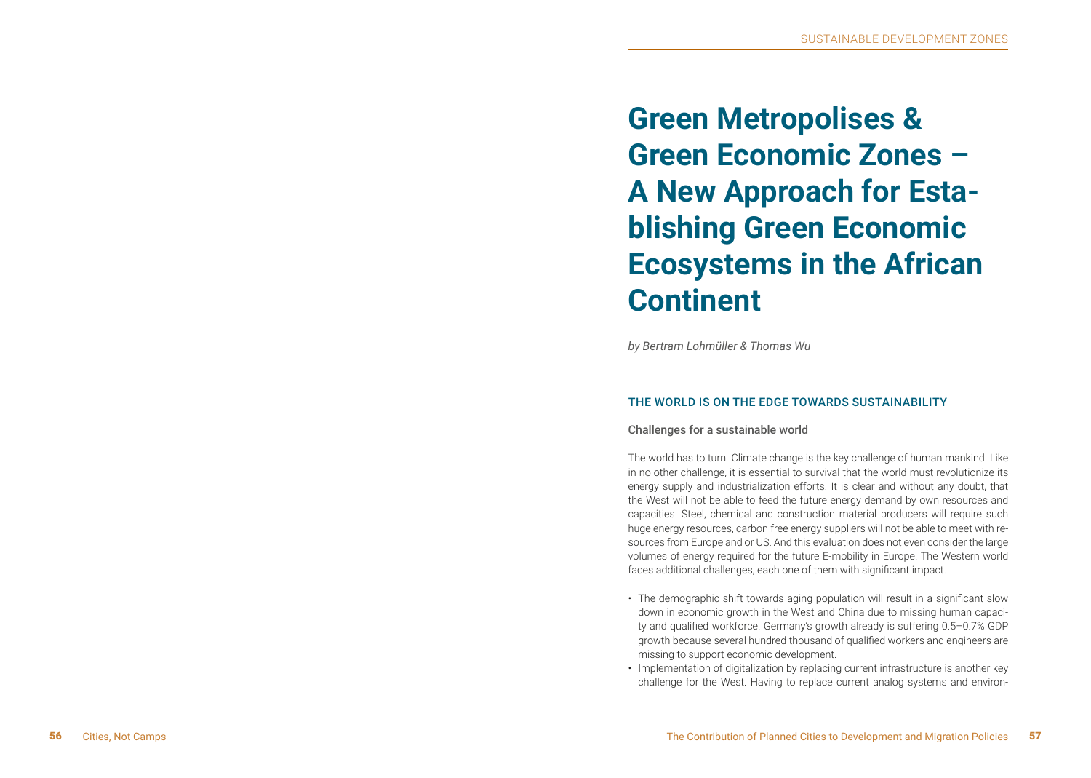**Green Metropolises & Green Economic Zones – A New Approach for Esta blishing Green Economic Ecosystems in the African Continent**

*by Bertram Lohmüller & Thomas Wu*

# THE WORLD IS ON THE EDGE TOWARDS SUSTAINABILITY

## Challenges for a sustainable world

The world has to turn. Climate change is the key challenge of human mankind. Like in no other challenge, it is essential to survival that the world must revolutionize its energy supply and industrialization efforts. It is clear and without any doubt, that the West will not be able to feed the future energy demand by own resources and capacities. Steel, chemical and construction material producers will require such huge energy resources, carbon free energy suppliers will not be able to meet with re sources from Europe and or US. And this evaluation does not even consider the large volumes of energy required for the future E-mobility in Europe. The Western world faces additional challenges, each one of them with significant impact.

- The demographic shift towards aging population will result in a significant slow down in economic growth in the West and China due to missing human capaci ty and qualified workforce. Germany's growth already is suffering 0.5–0.7% GDP growth because several hundred thousand of qualified workers and engineers are missing to support economic development.
- Implementation of digitalization by replacing current infrastructure is another key challenge for the West. Having to replace current analog systems and environ -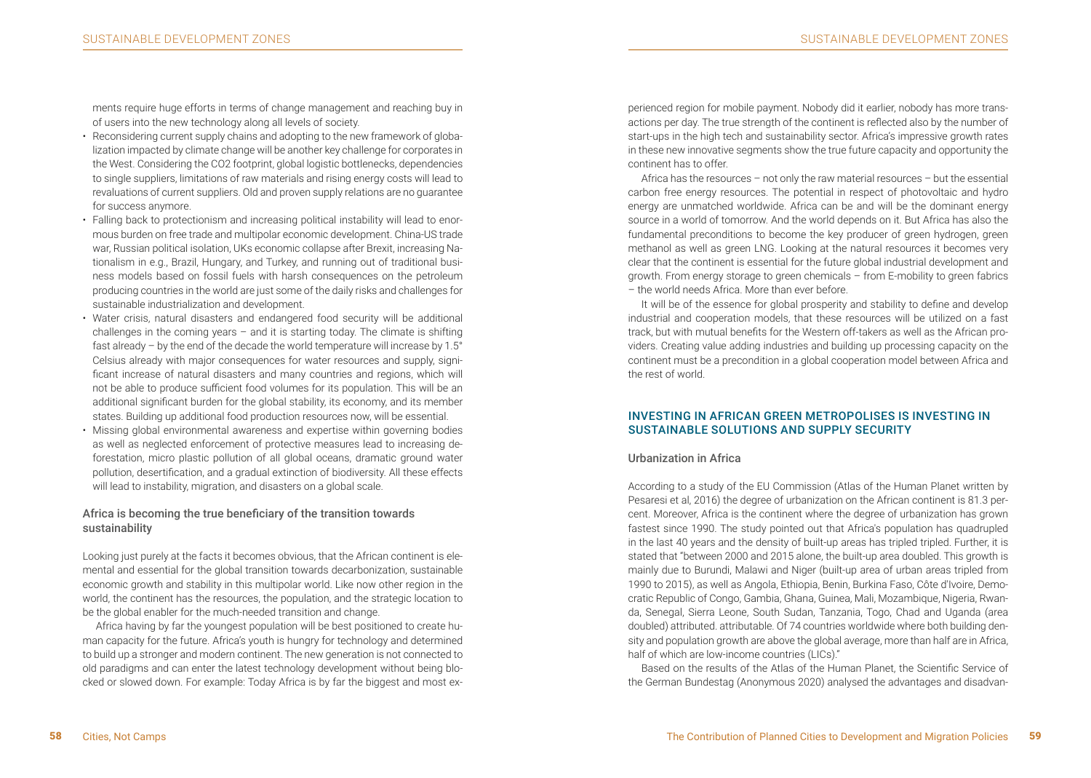ments require huge efforts in terms of change management and reaching buy in of users into the new technology along all levels of society.

- Reconsidering current supply chains and adopting to the new framework of globalization impacted by climate change will be another key challenge for corporates in the West. Considering the CO2 footprint, global logistic bottlenecks, dependencies to single suppliers, limitations of raw materials and rising energy costs will lead to revaluations of current suppliers. Old and proven supply relations are no guarantee for success anymore.
- Falling back to protectionism and increasing political instability will lead to enormous burden on free trade and multipolar economic development. China-US trade war, Russian political isolation, UKs economic collapse after Brexit, increasing Nationalism in e.g., Brazil, Hungary, and Turkey, and running out of traditional business models based on fossil fuels with harsh consequences on the petroleum producing countries in the world are just some of the daily risks and challenges for sustainable industrialization and development.
- Water crisis, natural disasters and endangered food security will be additional challenges in the coming years  $-$  and it is starting today. The climate is shifting fast already – by the end of the decade the world temperature will increase by 1.5° Celsius already with major consequences for water resources and supply, significant increase of natural disasters and many countries and regions, which will not be able to produce sufficient food volumes for its population. This will be an additional significant burden for the global stability, its economy, and its member states. Building up additional food production resources now, will be essential.
- Missing global environmental awareness and expertise within governing bodies as well as neglected enforcement of protective measures lead to increasing deforestation, micro plastic pollution of all global oceans, dramatic ground water pollution, desertification, and a gradual extinction of biodiversity. All these effects will lead to instability, migration, and disasters on a global scale.

# Africa is becoming the true beneficiary of the transition towards sustainability

Looking just purely at the facts it becomes obvious, that the African continent is elemental and essential for the global transition towards decarbonization, sustainable economic growth and stability in this multipolar world. Like now other region in the world, the continent has the resources, the population, and the strategic location to be the global enabler for the much-needed transition and change.

Africa having by far the youngest population will be best positioned to create human capacity for the future. Africa's youth is hungry for technology and determined to build up a stronger and modern continent. The new generation is not connected to old paradigms and can enter the latest technology development without being blocked or slowed down. For example: Today Africa is by far the biggest and most experienced region for mobile payment. Nobody did it earlier, nobody has more transactions per day. The true strength of the continent is reflected also by the number of start-ups in the high tech and sustainability sector. Africa's impressive growth rates in these new innovative segments show the true future capacity and opportunity the continent has to offer.

Africa has the resources – not only the raw material resources – but the essential carbon free energy resources. The potential in respect of photovoltaic and hydro energy are unmatched worldwide. Africa can be and will be the dominant energy source in a world of tomorrow. And the world depends on it. But Africa has also the fundamental preconditions to become the key producer of green hydrogen, green methanol as well as green LNG. Looking at the natural resources it becomes very clear that the continent is essential for the future global industrial development and growth. From energy storage to green chemicals – from E-mobility to green fabrics – the world needs Africa. More than ever before.

It will be of the essence for global prosperity and stability to define and develop industrial and cooperation models, that these resources will be utilized on a fast track, but with mutual benefits for the Western off-takers as well as the African providers. Creating value adding industries and building up processing capacity on the continent must be a precondition in a global cooperation model between Africa and the rest of world.

## INVESTING IN AFRICAN GREEN METROPOLISES IS INVESTING IN SUSTAINABLE SOLUTIONS AND SUPPLY SECURITY

## Urbanization in Africa

According to a study of the EU Commission (Atlas of the Human Planet written by Pesaresi et al, 2016) the degree of urbanization on the African continent is 81.3 percent. Moreover, Africa is the continent where the degree of urbanization has grown fastest since 1990. The study pointed out that Africa's population has quadrupled in the last 40 years and the density of built-up areas has tripled tripled. Further, it is stated that "between 2000 and 2015 alone, the built-up area doubled. This growth is mainly due to Burundi, Malawi and Niger (built-up area of urban areas tripled from 1990 to 2015), as well as Angola, Ethiopia, Benin, Burkina Faso, Côte d'Ivoire, Democratic Republic of Congo, Gambia, Ghana, Guinea, Mali, Mozambique, Nigeria, Rwanda, Senegal, Sierra Leone, South Sudan, Tanzania, Togo, Chad and Uganda (area doubled) attributed. attributable. Of 74 countries worldwide where both building density and population growth are above the global average, more than half are in Africa, half of which are low-income countries (LICs)."

Based on the results of the Atlas of the Human Planet, the Scientific Service of the German Bundestag (Anonymous 2020) analysed the advantages and disadvan-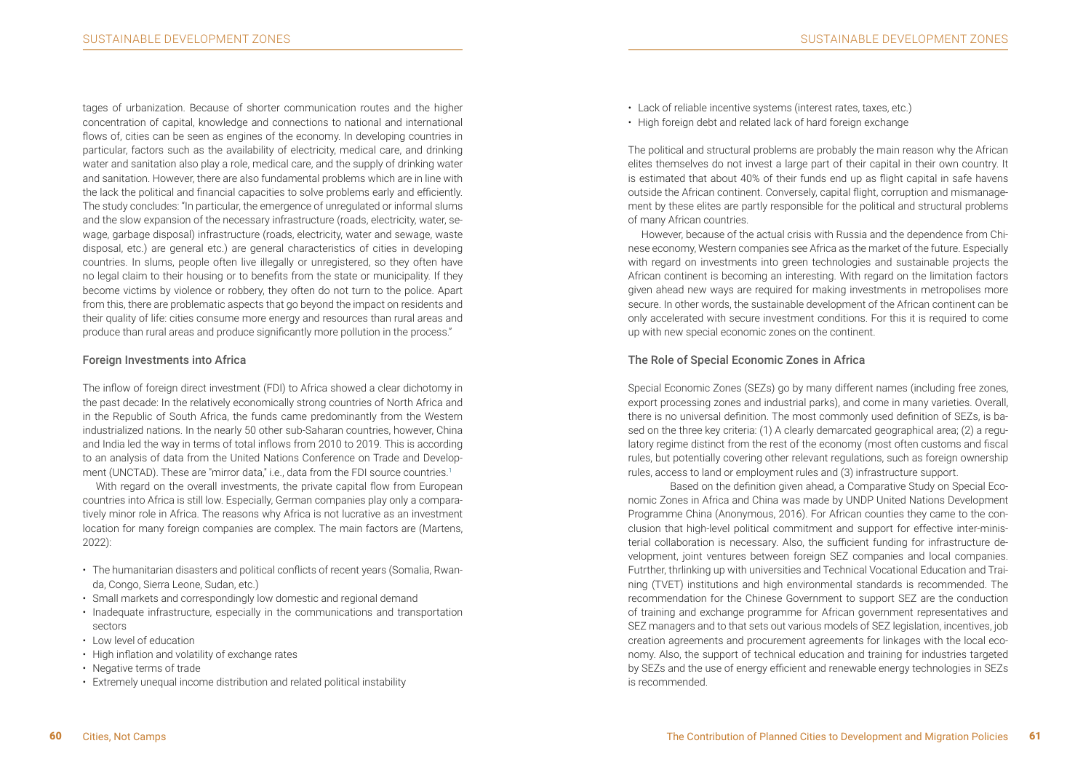tages of urbanization. Because of shorter communication routes and the higher concentration of capital, knowledge and connections to national and international flows of, cities can be seen as engines of the economy. In developing countries in particular, factors such as the availability of electricity, medical care, and drinking water and sanitation also play a role, medical care, and the supply of drinking water and sanitation. However, there are also fundamental problems which are in line with the lack the political and financial capacities to solve problems early and efficiently. The study concludes: "In particular, the emergence of unregulated or informal slums and the slow expansion of the necessary infrastructure (roads, electricity, water, sewage, garbage disposal) infrastructure (roads, electricity, water and sewage, waste disposal, etc.) are general etc.) are general characteristics of cities in developing countries. In slums, people often live illegally or unregistered, so they often have no legal claim to their housing or to benefits from the state or municipality. If they become victims by violence or robbery, they often do not turn to the police. Apart from this, there are problematic aspects that go beyond the impact on residents and their quality of life: cities consume more energy and resources than rural areas and produce than rural areas and produce significantly more pollution in the process."

#### Foreign Investments into Africa

The inflow of foreign direct investment (FDI) to Africa showed a clear dichotomy in the past decade: In the relatively economically strong countries of North Africa and in the Republic of South Africa, the funds came predominantly from the Western industrialized nations. In the nearly 50 other sub-Saharan countries, however, China and India led the way in terms of total inflows from 2010 to 2019. This is according to an analysis of data from the United Nations Conference on Trade and Development (UNCTAD). These are "mirror data," i.e., data from the FDI source countries.<sup>1</sup>

With regard on the overall investments, the private capital flow from European countries into Africa is still low. Especially, German companies play only a comparatively minor role in Africa. The reasons why Africa is not lucrative as an investment location for many foreign companies are complex. The main factors are (Martens, 2022):

- The humanitarian disasters and political conflicts of recent years (Somalia, Rwanda, Congo, Sierra Leone, Sudan, etc.)
- Small markets and correspondingly low domestic and regional demand
- Inadequate infrastructure, especially in the communications and transportation sectors
- Low level of education
- High inflation and volatility of exchange rates
- Negative terms of trade
- Extremely unequal income distribution and related political instability
- Lack of reliable incentive systems (interest rates, taxes, etc.)
- High foreign debt and related lack of hard foreign exchange

The political and structural problems are probably the main reason why the African elites themselves do not invest a large part of their capital in their own country. It is estimated that about 40% of their funds end up as flight capital in safe havens outside the African continent. Conversely, capital flight, corruption and mismanagement by these elites are partly responsible for the political and structural problems of many African countries.

However, because of the actual crisis with Russia and the dependence from Chinese economy, Western companies see Africa as the market of the future. Especially with regard on investments into green technologies and sustainable projects the African continent is becoming an interesting. With regard on the limitation factors given ahead new ways are required for making investments in metropolises more secure. In other words, the sustainable development of the African continent can be only accelerated with secure investment conditions. For this it is required to come up with new special economic zones on the continent.

## The Role of Special Economic Zones in Africa

Special Economic Zones (SEZs) go by many different names (including free zones, export processing zones and industrial parks), and come in many varieties. Overall, there is no universal definition. The most commonly used definition of SEZs, is based on the three key criteria: (1) A clearly demarcated geographical area; (2) a regulatory regime distinct from the rest of the economy (most often customs and fiscal rules, but potentially covering other relevant regulations, such as foreign ownership rules, access to land or employment rules and (3) infrastructure support.

Based on the definition given ahead, a Comparative Study on Special Economic Zones in Africa and China was made by UNDP United Nations Development Programme China (Anonymous, 2016). For African counties they came to the conclusion that high-level political commitment and support for effective inter-ministerial collaboration is necessary. Also, the sufficient funding for infrastructure development, joint ventures between foreign SEZ companies and local companies. Futrther, thrlinking up with universities and Technical Vocational Education and Training (TVET) institutions and high environmental standards is recommended. The recommendation for the Chinese Government to support SEZ are the conduction of training and exchange programme for African government representatives and SEZ managers and to that sets out various models of SEZ legislation, incentives, job creation agreements and procurement agreements for linkages with the local economy. Also, the support of technical education and training for industries targeted by SEZs and the use of energy efficient and renewable energy technologies in SEZs is recommended.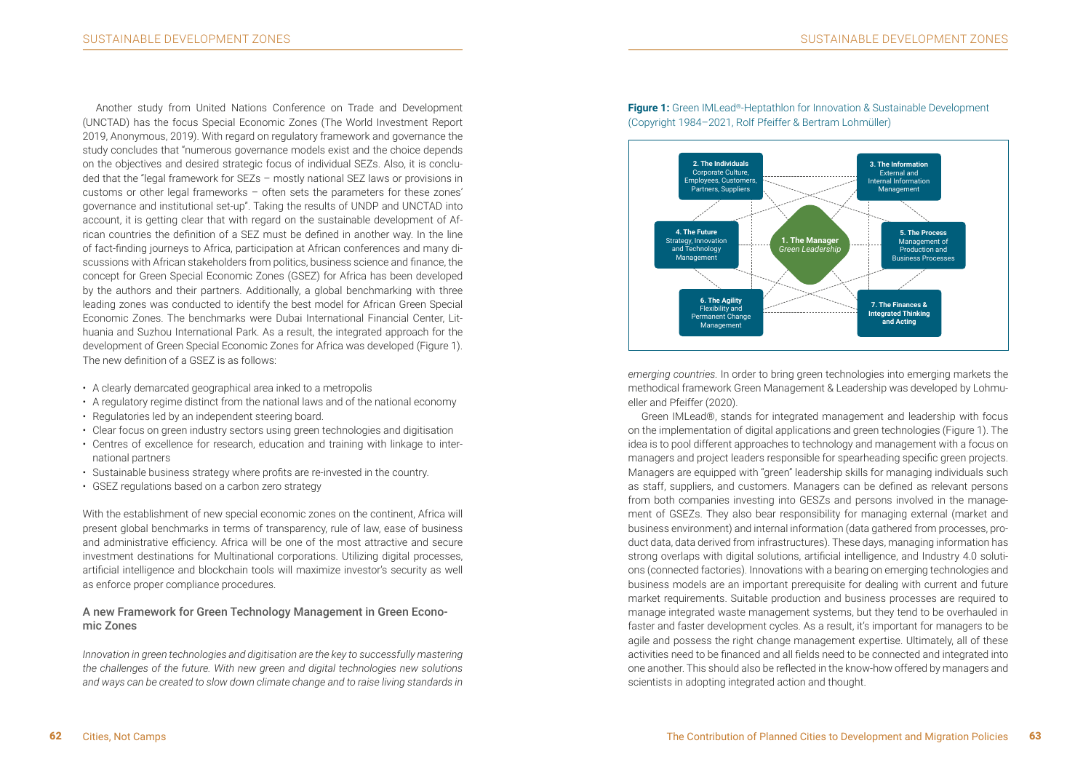Another study from United Nations Conference on Trade and Development (UNCTAD) has the focus Special Economic Zones (The World Investment Report 2019, Anonymous, 2019). With regard on regulatory framework and governance the study concludes that "numerous governance models exist and the choice depends on the objectives and desired strategic focus of individual SEZs. Also, it is concluded that the "legal framework for SEZs – mostly national SEZ laws or provisions in customs or other legal frameworks – often sets the parameters for these zones' governance and institutional set-up". Taking the results of UNDP and UNCTAD into account, it is getting clear that with regard on the sustainable development of African countries the definition of a SEZ must be defined in another way. In the line of fact-finding journeys to Africa, participation at African conferences and many discussions with African stakeholders from politics, business science and finance, the concept for Green Special Economic Zones (GSEZ) for Africa has been developed by the authors and their partners. Additionally, a global benchmarking with three leading zones was conducted to identify the best model for African Green Special Economic Zones. The benchmarks were Dubai International Financial Center, Lithuania and Suzhou International Park. As a result, the integrated approach for the development of Green Special Economic Zones for Africa was developed (Figure 1). The new definition of a GSEZ is as follows:

- A clearly demarcated geographical area inked to a metropolis
- A regulatory regime distinct from the national laws and of the national economy
- Regulatories led by an independent steering board.
- Clear focus on green industry sectors using green technologies and digitisation
- Centres of excellence for research, education and training with linkage to international partners
- Sustainable business strategy where profits are re-invested in the country.
- GSEZ regulations based on a carbon zero strategy

With the establishment of new special economic zones on the continent, Africa will present global benchmarks in terms of transparency, rule of law, ease of business and administrative efficiency. Africa will be one of the most attractive and secure investment destinations for Multinational corporations. Utilizing digital processes, artificial intelligence and blockchain tools will maximize investor's security as well as enforce proper compliance procedures.

# A new Framework for Green Technology Management in Green Economic Zones

*Innovation in green technologies and digitisation are the key to successfully mastering the challenges of the future. With new green and digital technologies new solutions and ways can be created to slow down climate change and to raise living standards in* 



**Figure 1:** Green IMLead®-Heptathlon for Innovation & Sustainable Development (Copyright 1984–2021, Rolf Pfeiffer & Bertram Lohmüller)

*emerging countries.* In order to bring green technologies into emerging markets the methodical framework Green Management & Leadership was developed by Lohmueller and Pfeiffer (2020).

Green IMLead®, stands for integrated management and leadership with focus on the implementation of digital applications and green technologies (Figure 1). The idea is to pool different approaches to technology and management with a focus on managers and project leaders responsible for spearheading specific green projects. Managers are equipped with "green" leadership skills for managing individuals such as staff, suppliers, and customers. Managers can be defined as relevant persons from both companies investing into GESZs and persons involved in the management of GSEZs. They also bear responsibility for managing external (market and business environment) and internal information (data gathered from processes, product data, data derived from infrastructures). These days, managing information has strong overlaps with digital solutions, artificial intelligence, and Industry 4.0 solutions (connected factories). Innovations with a bearing on emerging technologies and business models are an important prerequisite for dealing with current and future market requirements. Suitable production and business processes are required to manage integrated waste management systems, but they tend to be overhauled in faster and faster development cycles. As a result, it's important for managers to be agile and possess the right change management expertise. Ultimately, all of these activities need to be financed and all fields need to be connected and integrated into one another. This should also be reflected in the know-how offered by managers and scientists in adopting integrated action and thought.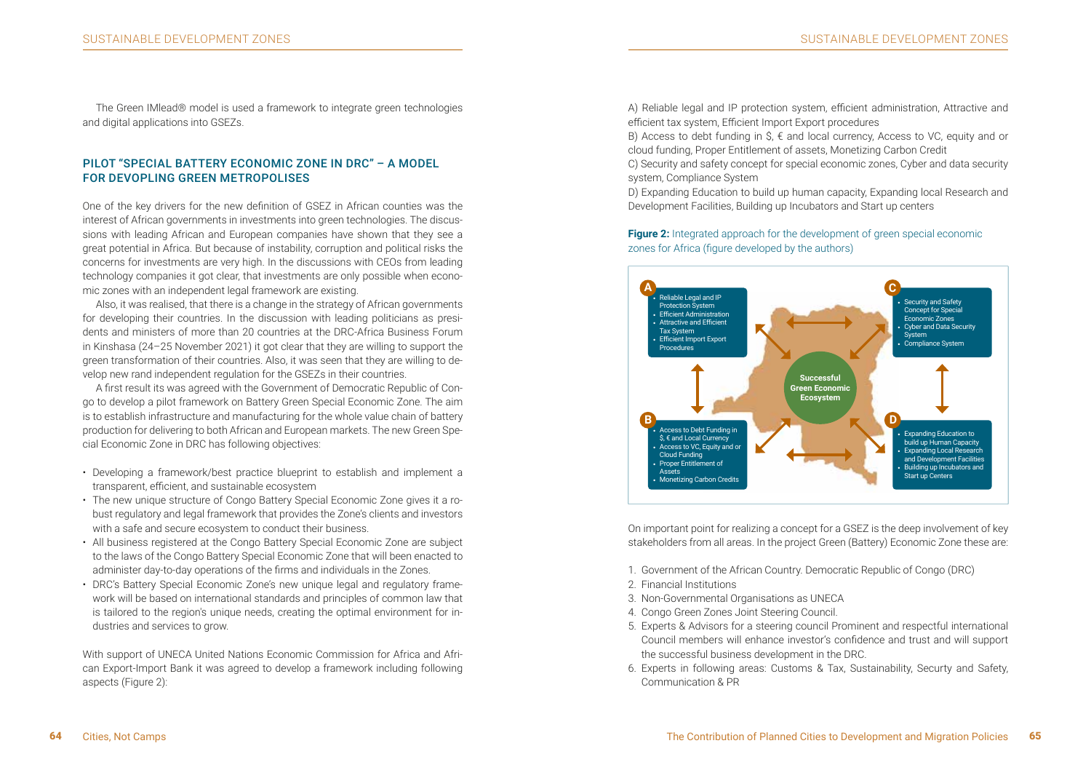The Green IMlead® model is used a framework to integrate green technologies and digital applications into GSEZs.

## PILOT "SPECIAL BATTERY ECONOMIC ZONE IN DRC" – A MODEL FOR DEVOPLING GREEN METROPOLISES

One of the key drivers for the new definition of GSEZ in African counties was the interest of African governments in investments into green technologies. The discussions with leading African and European companies have shown that they see a great potential in Africa. But because of instability, corruption and political risks the concerns for investments are very high. In the discussions with CEOs from leading technology companies it got clear, that investments are only possible when economic zones with an independent legal framework are existing.

Also, it was realised, that there is a change in the strategy of African governments for developing their countries. In the discussion with leading politicians as presidents and ministers of more than 20 countries at the DRC-Africa Business Forum in Kinshasa (24–25 November 2021) it got clear that they are willing to support the green transformation of their countries. Also, it was seen that they are willing to develop new rand independent regulation for the GSEZs in their countries.

A first result its was agreed with the Government of Democratic Republic of Congo to develop a pilot framework on Battery Green Special Economic Zone. The aim is to establish infrastructure and manufacturing for the whole value chain of battery production for delivering to both African and European markets. The new Green Special Economic Zone in DRC has following objectives:

- Developing a framework/best practice blueprint to establish and implement a transparent, efficient, and sustainable ecosystem
- The new unique structure of Congo Battery Special Economic Zone gives it a robust regulatory and legal framework that provides the Zone's clients and investors with a safe and secure ecosystem to conduct their business.
- All business registered at the Congo Battery Special Economic Zone are subject to the laws of the Congo Battery Special Economic Zone that will been enacted to administer day-to-day operations of the firms and individuals in the Zones.
- DRC's Battery Special Economic Zone's new unique legal and regulatory framework will be based on international standards and principles of common law that is tailored to the region's unique needs, creating the optimal environment for industries and services to grow.

With support of UNECA United Nations Economic Commission for Africa and African Export-Import Bank it was agreed to develop a framework including following aspects (Figure 2):

A) Reliable legal and IP protection system, efficient administration, Attractive and efficient tax system, Efficient Import Export procedures

B) Access to debt funding in  $\hat{S}$ ,  $\epsilon$  and local currency, Access to VC, equity and or cloud funding, Proper Entitlement of assets, Monetizing Carbon Credit

C) Security and safety concept for special economic zones, Cyber and data security system, Compliance System

D) Expanding Education to build up human capacity, Expanding local Research and Development Facilities, Building up Incubators and Start up centers

**Figure 2:** Integrated approach for the development of green special economic



On important point for realizing a concept for a GSEZ is the deep involvement of key stakeholders from all areas. In the project Green (Battery) Economic Zone these are:

- 1. Government of the African Country. Democratic Republic of Congo (DRC)
- 2. Financial Institutions
- 3. Non-Governmental Organisations as UNECA
- 4. Congo Green Zones Joint Steering Council.
- 5. Experts & Advisors for a steering council Prominent and respectful international Council members will enhance investor's confidence and trust and will support the successful business development in the DRC.
- 6. Experts in following areas: Customs & Tax, Sustainability, Securty and Safety, Communication & PR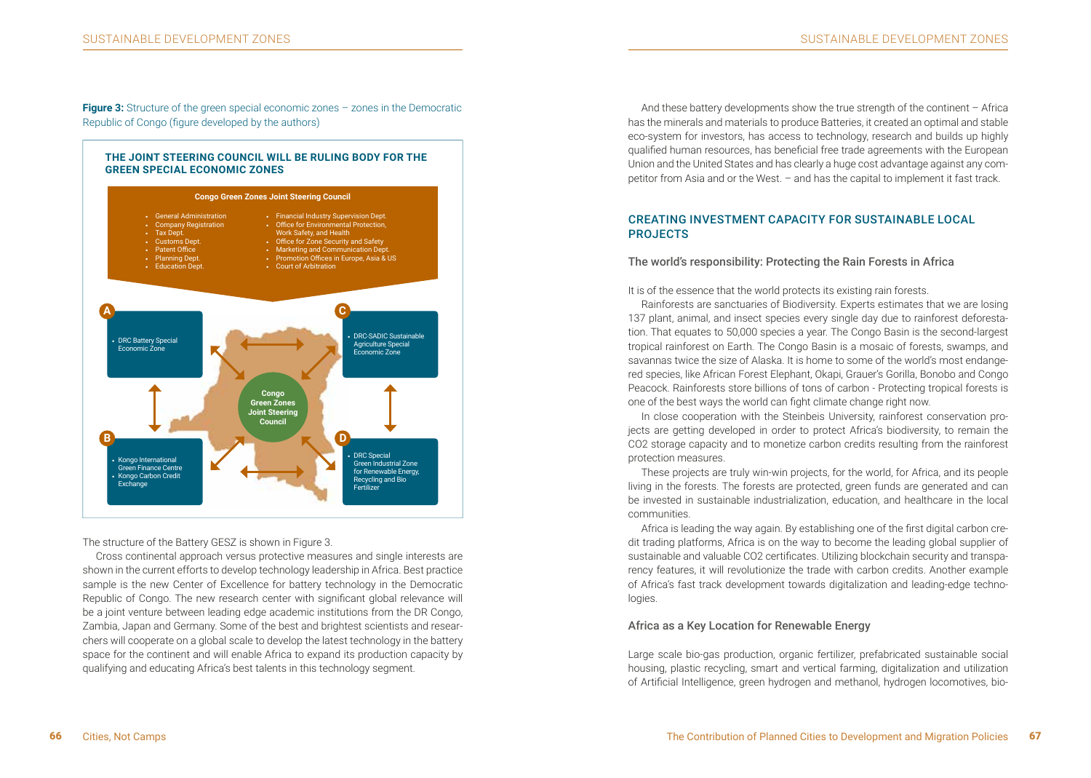**Figure 3:** Structure of the green special economic zones – zones in the Democratic Republic of Congo (figure developed by the authors)

#### **THE JOINT STEERING COUNCIL WILL BE RULING BODY FOR THE GREEN SPECIAL ECONOMIC ZONES**



The structure of the Battery GESZ is shown in Figure 3.

Cross continental approach versus protective measures and single interests are shown in the current efforts to develop technology leadership in Africa. Best practice sample is the new Center of Excellence for battery technology in the Democratic Republic of Congo. The new research center with significant global relevance will be a joint venture between leading edge academic institutions from the DR Congo, Zambia, Japan and Germany. Some of the best and brightest scientists and researchers will cooperate on a global scale to develop the latest technology in the battery space for the continent and will enable Africa to expand its production capacity by qualifying and educating Africa's best talents in this technology segment.

And these battery developments show the true strength of the continent – Africa has the minerals and materials to produce Batteries, it created an optimal and stable eco-system for investors, has access to technology, research and builds up highly qualified human resources, has beneficial free trade agreements with the European Union and the United States and has clearly a huge cost advantage against any competitor from Asia and or the West. – and has the capital to implement it fast track.

## CREATING INVESTMENT CAPACITY FOR SUSTAINABLE LOCAL PROJECTS

#### The world's responsibility: Protecting the Rain Forests in Africa

It is of the essence that the world protects its existing rain forests.

Rainforests are sanctuaries of Biodiversity. Experts estimates that we are losing 137 plant, animal, and insect species every single day due to rainforest deforestation. That equates to 50,000 species a year. The Congo Basin is the second-largest tropical rainforest on Earth. The Congo Basin is a mosaic of forests, swamps, and savannas twice the size of Alaska. It is home to some of the world's most endangered species, like African Forest Elephant, Okapi, Grauer's Gorilla, Bonobo and Congo Peacock. Rainforests store billions of tons of carbon - Protecting tropical forests is one of the best ways the world can fight climate change right now.

In close cooperation with the Steinbeis University, rainforest conservation projects are getting developed in order to protect Africa's biodiversity, to remain the CO2 storage capacity and to monetize carbon credits resulting from the rainforest protection measures.

These projects are truly win-win projects, for the world, for Africa, and its people living in the forests. The forests are protected, green funds are generated and can be invested in sustainable industrialization, education, and healthcare in the local communities.

Africa is leading the way again. By establishing one of the first digital carbon credit trading platforms, Africa is on the way to become the leading global supplier of sustainable and valuable CO2 certificates. Utilizing blockchain security and transparency features, it will revolutionize the trade with carbon credits. Another example of Africa's fast track development towards digitalization and leading-edge technologies.

## Africa as a Key Location for Renewable Energy

Large scale bio-gas production, organic fertilizer, prefabricated sustainable social housing, plastic recycling, smart and vertical farming, digitalization and utilization of Artificial Intelligence, green hydrogen and methanol, hydrogen locomotives, bio-